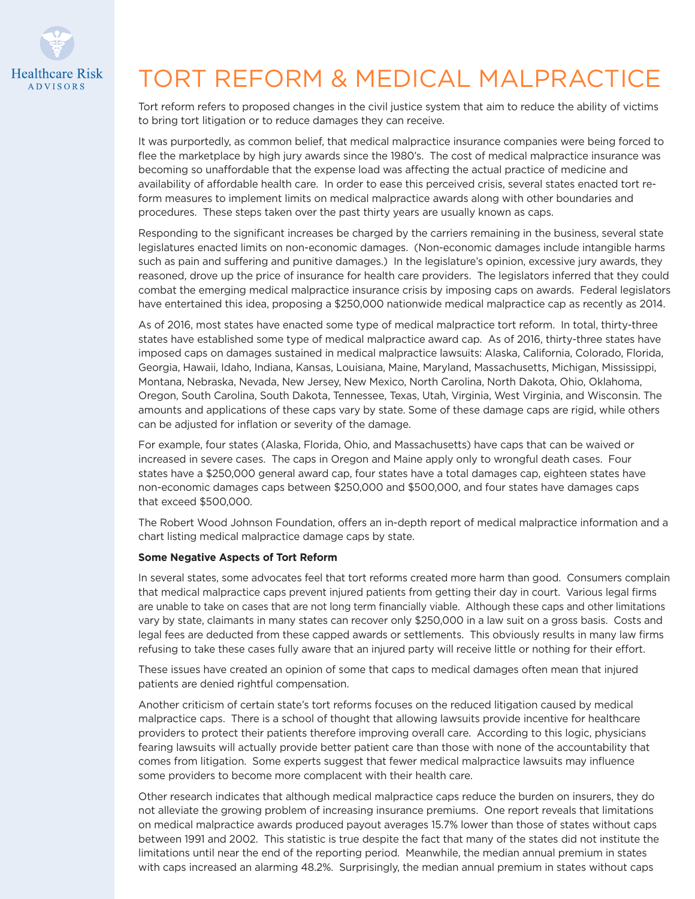

# TORT REFORM & MEDICAL MALPRACTICE

Tort reform refers to proposed changes in the civil justice system that aim to reduce the ability of victims to bring tort litigation or to reduce damages they can receive.

It was purportedly, as common belief, that medical malpractice insurance companies were being forced to flee the marketplace by high jury awards since the 1980's. The cost of medical malpractice insurance was becoming so unaffordable that the expense load was affecting the actual practice of medicine and availability of affordable health care. In order to ease this perceived crisis, several states enacted tort reform measures to implement limits on medical malpractice awards along with other boundaries and procedures. These steps taken over the past thirty years are usually known as caps.

Responding to the significant increases be charged by the carriers remaining in the business, several state legislatures enacted limits on non-economic damages. (Non-economic damages include intangible harms such as pain and suffering and punitive damages.) In the legislature's opinion, excessive jury awards, they reasoned, drove up the price of insurance for health care providers. The legislators inferred that they could combat the emerging medical malpractice insurance crisis by imposing caps on awards. Federal legislators have entertained this idea, proposing a \$250,000 nationwide medical malpractice cap as recently as 2014.

As of 2016, most states have enacted some type of medical malpractice tort reform. In total, thirty-three states have established some type of medical malpractice award cap. As of 2016, thirty-three states have imposed caps on damages sustained in medical malpractice lawsuits: Alaska, California, Colorado, Florida, Georgia, Hawaii, Idaho, Indiana, Kansas, Louisiana, Maine, Maryland, Massachusetts, Michigan, Mississippi, Montana, Nebraska, Nevada, New Jersey, New Mexico, North Carolina, North Dakota, Ohio, Oklahoma, Oregon, South Carolina, South Dakota, Tennessee, Texas, Utah, Virginia, West Virginia, and Wisconsin. The amounts and applications of these caps vary by state. Some of these damage caps are rigid, while others can be adjusted for inflation or severity of the damage.

For example, four states (Alaska, Florida, Ohio, and Massachusetts) have caps that can be waived or increased in severe cases. The caps in Oregon and Maine apply only to wrongful death cases. Four states have a \$250,000 general award cap, four states have a total damages cap, eighteen states have non-economic damages caps between \$250,000 and \$500,000, and four states have damages caps that exceed \$500,000.

The Robert Wood Johnson Foundation, offers an in-depth report of medical malpractice information and a chart listing medical malpractice damage caps by state.

### **Some Negative Aspects of Tort Reform**

In several states, some advocates feel that tort reforms created more harm than good. Consumers complain that medical malpractice caps prevent injured patients from getting their day in court. Various legal firms are unable to take on cases that are not long term financially viable. Although these caps and other limitations vary by state, claimants in many states can recover only \$250,000 in a law suit on a gross basis. Costs and legal fees are deducted from these capped awards or settlements. This obviously results in many law firms refusing to take these cases fully aware that an injured party will receive little or nothing for their effort.

These issues have created an opinion of some that caps to medical damages often mean that injured patients are denied rightful compensation.

Another criticism of certain state's tort reforms focuses on the reduced litigation caused by medical malpractice caps. There is a school of thought that allowing lawsuits provide incentive for healthcare providers to protect their patients therefore improving overall care. According to this logic, physicians fearing lawsuits will actually provide better patient care than those with none of the accountability that comes from litigation. Some experts suggest that fewer medical malpractice lawsuits may influence some providers to become more complacent with their health care.

Other research indicates that although medical malpractice caps reduce the burden on insurers, they do not alleviate the growing problem of increasing insurance premiums. One report reveals that limitations on medical malpractice awards produced payout averages 15.7% lower than those of states without caps between 1991 and 2002. This statistic is true despite the fact that many of the states did not institute the limitations until near the end of the reporting period. Meanwhile, the median annual premium in states with caps increased an alarming 48.2%. Surprisingly, the median annual premium in states without caps